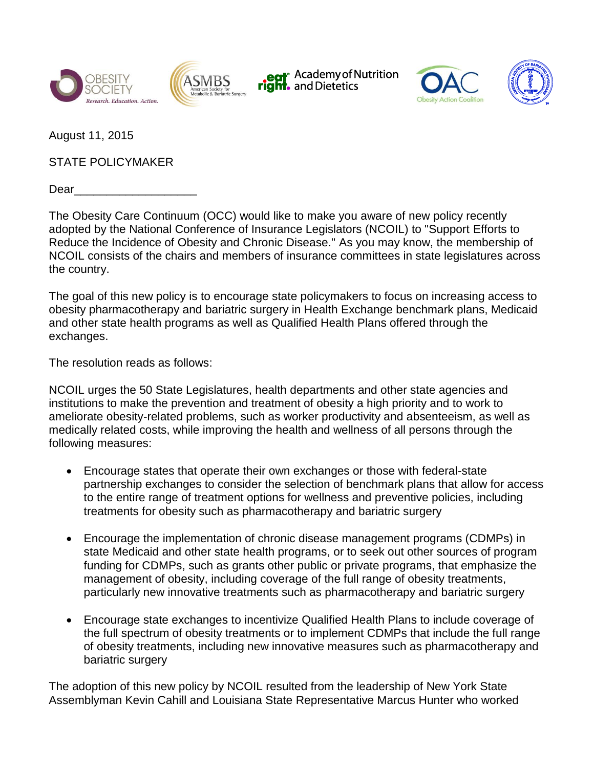







August 11, 2015

STATE POLICYMAKER

Dear

The Obesity Care Continuum (OCC) would like to make you aware of new policy recently adopted by the National Conference of Insurance Legislators (NCOIL) to "Support Efforts to Reduce the Incidence of Obesity and Chronic Disease." As you may know, the membership of NCOIL consists of the chairs and members of insurance committees in state legislatures across the country.

The goal of this new policy is to encourage state policymakers to focus on increasing access to obesity pharmacotherapy and bariatric surgery in Health Exchange benchmark plans, Medicaid and other state health programs as well as Qualified Health Plans offered through the exchanges.

The resolution reads as follows:

NCOIL urges the 50 State Legislatures, health departments and other state agencies and institutions to make the prevention and treatment of obesity a high priority and to work to ameliorate obesity-related problems, such as worker productivity and absenteeism, as well as medically related costs, while improving the health and wellness of all persons through the following measures:

- Encourage states that operate their own exchanges or those with federal-state partnership exchanges to consider the selection of benchmark plans that allow for access to the entire range of treatment options for wellness and preventive policies, including treatments for obesity such as pharmacotherapy and bariatric surgery
- Encourage the implementation of chronic disease management programs (CDMPs) in state Medicaid and other state health programs, or to seek out other sources of program funding for CDMPs, such as grants other public or private programs, that emphasize the management of obesity, including coverage of the full range of obesity treatments, particularly new innovative treatments such as pharmacotherapy and bariatric surgery
- Encourage state exchanges to incentivize Qualified Health Plans to include coverage of the full spectrum of obesity treatments or to implement CDMPs that include the full range of obesity treatments, including new innovative measures such as pharmacotherapy and bariatric surgery

The adoption of this new policy by NCOIL resulted from the leadership of New York State Assemblyman Kevin Cahill and Louisiana State Representative Marcus Hunter who worked